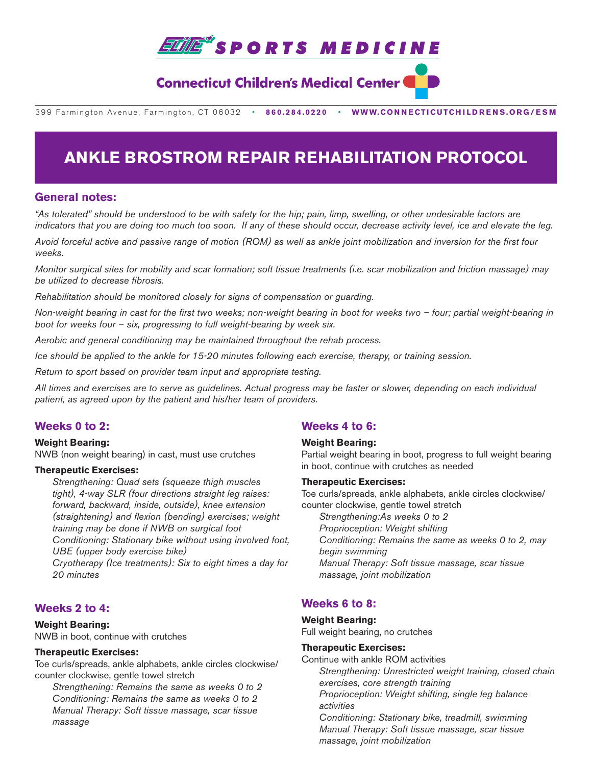

## **Connecticut Children's Medical Center**

399 Farmington Avenue, Farmington, CT 06032•**860.284.0220**•**WWW.CONNECTICUTCHILDRENS.ORG/ESM**

# **ANKLE BROSTROM REPAIR REHABILITATION PROTOCOL**

## **General notes:**

*"As tolerated" should be understood to be with safety for the hip; pain, limp, swelling, or other undesirable factors are indicators that you are doing too much too soon. If any of these should occur, decrease activity level, ice and elevate the leg.*

*Avoid forceful active and passive range of motion (ROM) as well as ankle joint mobilization and inversion for the first four weeks.*

*Monitor surgical sites for mobility and scar formation; soft tissue treatments (i.e. scar mobilization and friction massage) may be utilized to decrease fibrosis.*

*Rehabilitation should be monitored closely for signs of compensation or guarding.*

*Non-weight bearing in cast for the first two weeks; non-weight bearing in boot for weeks two – four; partial weight-bearing in boot for weeks four – six, progressing to full weight-bearing by week six.*

*Aerobic and general conditioning may be maintained throughout the rehab process.*

*Ice should be applied to the ankle for 15-20 minutes following each exercise, therapy, or training session.*

*Return to sport based on provider team input and appropriate testing.* 

*All times and exercises are to serve as guidelines. Actual progress may be faster or slower, depending on each individual patient, as agreed upon by the patient and his/her team of providers.*

## **Weeks 0 to 2:**

## **Weight Bearing:**

NWB (non weight bearing) in cast, must use crutches

#### **Therapeutic Exercises:**

 *Strengthening: Quad sets (squeeze thigh muscles tight), 4-way SLR (four directions straight leg raises: forward, backward, inside, outside), knee extension (straightening) and flexion (bending) exercises; weight training may be done if NWB on surgical foot Conditioning: Stationary bike without using involved foot, UBE (upper body exercise bike)*

*Cryotherapy (Ice treatments): Six to eight times a day for 20 minutes*

## **Weeks 2 to 4:**

#### **Weight Bearing:**

NWB in boot, continue with crutches

#### **Therapeutic Exercises:**

Toe curls/spreads, ankle alphabets, ankle circles clockwise/ counter clockwise, gentle towel stretch

 *Strengthening: Remains the same as weeks 0 to 2 Conditioning: Remains the same as weeks 0 to 2 Manual Therapy: Soft tissue massage, scar tissue massage*

## **Weeks 4 to 6:**

#### **Weight Bearing:**

Partial weight bearing in boot, progress to full weight bearing in boot, continue with crutches as needed

#### **Therapeutic Exercises:**

Toe curls/spreads, ankle alphabets, ankle circles clockwise/ counter clockwise, gentle towel stretch *Strengthening:As weeks 0 to 2 Proprioception: Weight shifting Conditioning: Remains the same as weeks 0 to 2, may begin swimming*

*Manual Therapy: Soft tissue massage, scar tissue massage, joint mobilization*

## **Weeks 6 to 8:**

### **Weight Bearing:**

Full weight bearing, no crutches

#### **Therapeutic Exercises:**

Continue with ankle ROM activities  *Strengthening: Unrestricted weight training, closed chain exercises, core strength training Proprioception: Weight shifting, single leg balance activities Conditioning: Stationary bike, treadmill, swimming Manual Therapy: Soft tissue massage, scar tissue massage, joint mobilization*